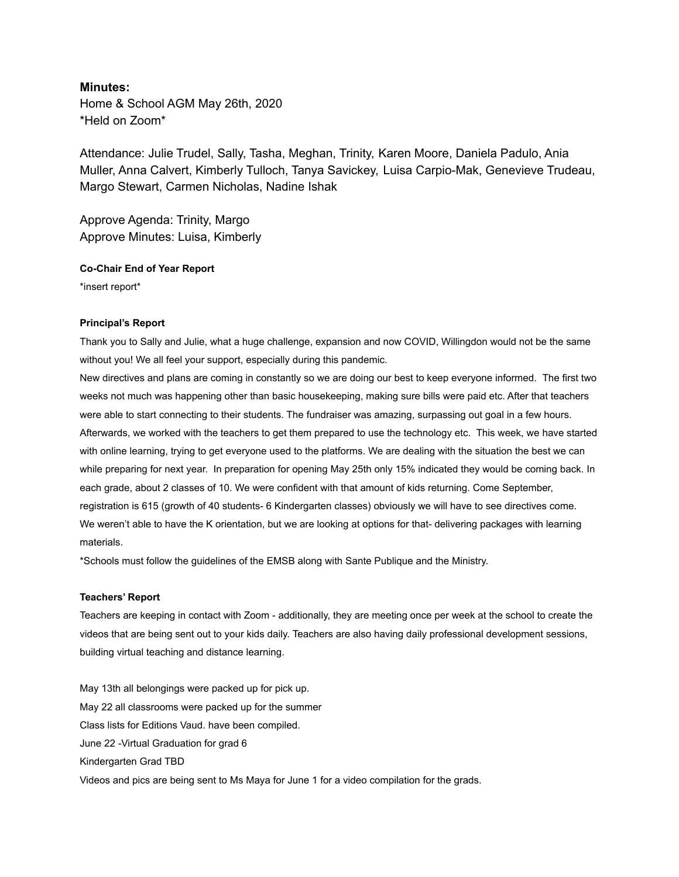# **Minutes:**

Home & School AGM May 26th, 2020 \*Held on Zoom\*

Attendance: Julie Trudel, Sally, Tasha, Meghan, Trinity, Karen Moore, Daniela Padulo, Ania Muller, Anna Calvert, Kimberly Tulloch, Tanya Savickey, Luisa Carpio-Mak, Genevieve Trudeau, Margo Stewart, Carmen Nicholas, Nadine Ishak

Approve Agenda: Trinity, Margo Approve Minutes: Luisa, Kimberly

**Co-Chair End of Year Report**

\*insert report\*

#### **Principal's Report**

Thank you to Sally and Julie, what a huge challenge, expansion and now COVID, Willingdon would not be the same without you! We all feel your support, especially during this pandemic.

New directives and plans are coming in constantly so we are doing our best to keep everyone informed. The first two weeks not much was happening other than basic housekeeping, making sure bills were paid etc. After that teachers were able to start connecting to their students. The fundraiser was amazing, surpassing out goal in a few hours. Afterwards, we worked with the teachers to get them prepared to use the technology etc. This week, we have started with online learning, trying to get everyone used to the platforms. We are dealing with the situation the best we can while preparing for next year. In preparation for opening May 25th only 15% indicated they would be coming back. In each grade, about 2 classes of 10. We were confident with that amount of kids returning. Come September, registration is 615 (growth of 40 students- 6 Kindergarten classes) obviously we will have to see directives come. We weren't able to have the K orientation, but we are looking at options for that- delivering packages with learning materials.

\*Schools must follow the guidelines of the EMSB along with Sante Publique and the Ministry.

# **Teachers' Report**

Teachers are keeping in contact with Zoom - additionally, they are meeting once per week at the school to create the videos that are being sent out to your kids daily. Teachers are also having daily professional development sessions, building virtual teaching and distance learning.

May 13th all belongings were packed up for pick up. May 22 all classrooms were packed up for the summer Class lists for Editions Vaud. have been compiled. June 22 -Virtual Graduation for grad 6 Kindergarten Grad TBD Videos and pics are being sent to Ms Maya for June 1 for a video compilation for the grads.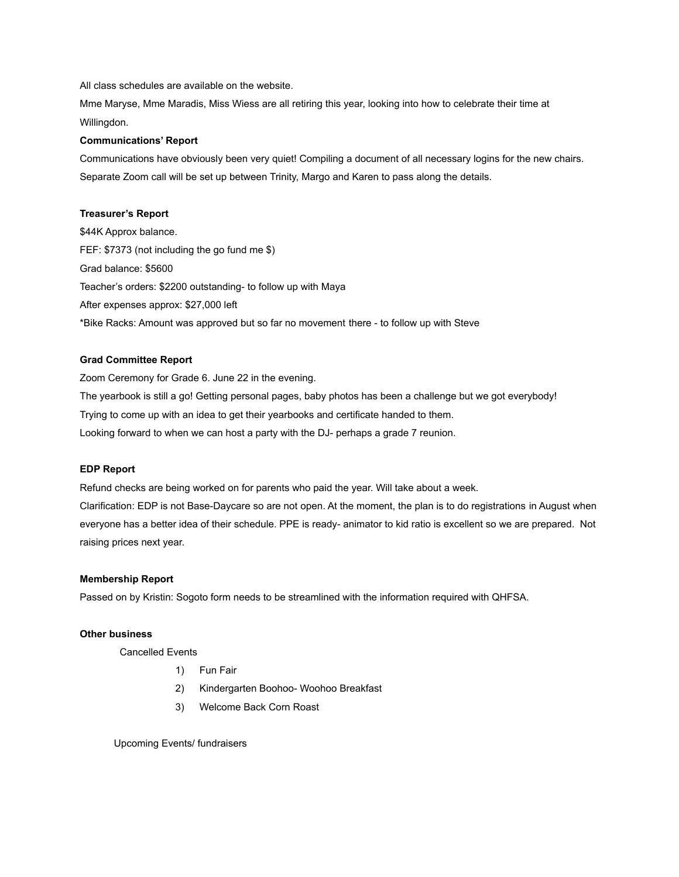All class schedules are available on the website.

Mme Maryse, Mme Maradis, Miss Wiess are all retiring this year, looking into how to celebrate their time at Willingdon.

### **Communications' Report**

Communications have obviously been very quiet! Compiling a document of all necessary logins for the new chairs. Separate Zoom call will be set up between Trinity, Margo and Karen to pass along the details.

### **Treasurer's Report**

\$44K Approx balance. FEF: \$7373 (not including the go fund me \$) Grad balance: \$5600 Teacher's orders: \$2200 outstanding- to follow up with Maya After expenses approx: \$27,000 left \*Bike Racks: Amount was approved but so far no movement there - to follow up with Steve

### **Grad Committee Report**

Zoom Ceremony for Grade 6. June 22 in the evening. The yearbook is still a go! Getting personal pages, baby photos has been a challenge but we got everybody! Trying to come up with an idea to get their yearbooks and certificate handed to them. Looking forward to when we can host a party with the DJ- perhaps a grade 7 reunion.

#### **EDP Report**

Refund checks are being worked on for parents who paid the year. Will take about a week. Clarification: EDP is not Base-Daycare so are not open. At the moment, the plan is to do registrations in August when everyone has a better idea of their schedule. PPE is ready- animator to kid ratio is excellent so we are prepared. Not raising prices next year.

#### **Membership Report**

Passed on by Kristin: Sogoto form needs to be streamlined with the information required with QHFSA.

#### **Other business**

Cancelled Events

- 1) Fun Fair
- 2) Kindergarten Boohoo- Woohoo Breakfast
- 3) Welcome Back Corn Roast

Upcoming Events/ fundraisers